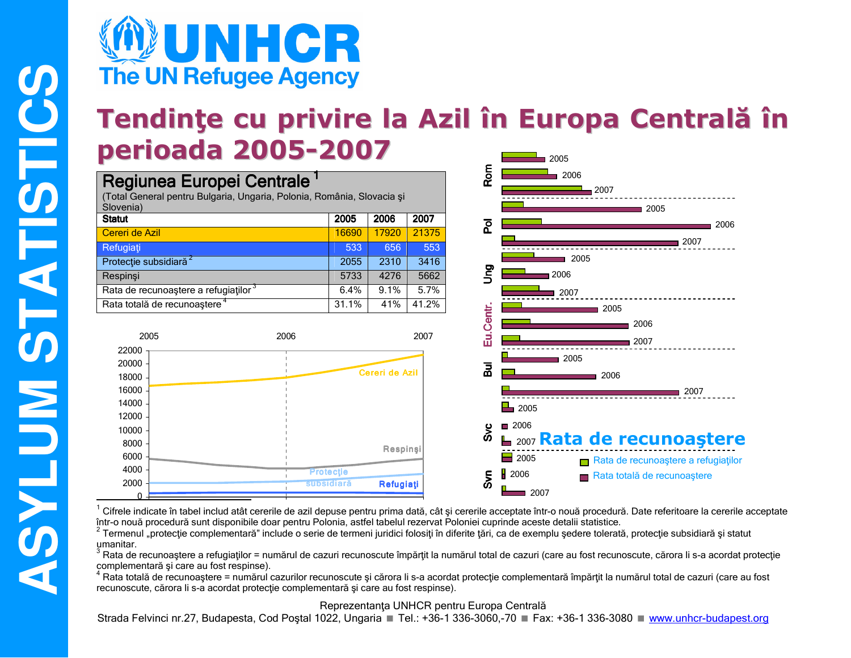

### Tendințe cu privire la Azil în Europa Centrală în perioada 2005-2007  $2005$

2006

 $\blacksquare$  2005

2006  $12007$   $-2007$ 

2005

 $\blacksquare$  2005

∎ 2006

2007

| Regiunea Europei Centrale<br>(Total General pentru Bulgaria, Ungaria, Polonia, România, Slovacia și<br>Slovenia) |       |       |       |  |  |  |  |
|------------------------------------------------------------------------------------------------------------------|-------|-------|-------|--|--|--|--|
| <b>Statut</b>                                                                                                    | 2005  | 2006  | 2007  |  |  |  |  |
| Cereri de Azil                                                                                                   | 16690 | 17920 | 21375 |  |  |  |  |
| Refugiați                                                                                                        | 533   | 656   | 553   |  |  |  |  |
| Protecție subsidiară <sup>2</sup>                                                                                | 2055  | 2310  | 3416  |  |  |  |  |
| Respinsi                                                                                                         | 5733  | 4276  | 5662  |  |  |  |  |
| Rata de recunoastere a refugiatilor 3                                                                            | 6.4%  | 9.1%  | 5.7%  |  |  |  |  |
| Rata totală de recunoaștere <sup>4</sup>                                                                         | 31.1% | 41%   | 41.2% |  |  |  |  |



Cifrele indicate în tabel includ atât cererile de azil depuse pentru prima dată, cât și cererile acceptate într-o nouă procedură. Date referitoare la cererile acceptate într-o nouă procedură sunt disponibile doar pentru Polonia, astfel tabelul rezervat Poloniei cuprinde aceste detalii statistice.

<sup>2</sup> Termenul "protecție complementară" include o serie de termeni juridici folosiți în diferite țări, ca de exemplu ședere tolerată, protecție subsidiară și statut umanitar.

<sup>3</sup> Rata de recunoaștere a refugiaților = numărul de cazuri recunoscute împărțit la numărul total de cazuri (care au fost recunoscute, cărora li s-a acordat protecție complementară și care au fost respinse).

Rata totală de recunoastere = numărul cazurilor recunoscute și cărora li s-a acordat protecție complementară împărțit la numărul total de cazuri (care au fost recunoscute, cărora li s-a acordat protecție complementară și care au fost respinse).

Reprezentanța UNHCR pentru Europa Centrală

Strada Felvinci nr.27, Budapesta, Cod Postal 1022, Ungaria ■ Tel.: +36-1 336-3060,-70 ■ Fax: +36-1 336-3080 ■ www.unhcr-budapest.org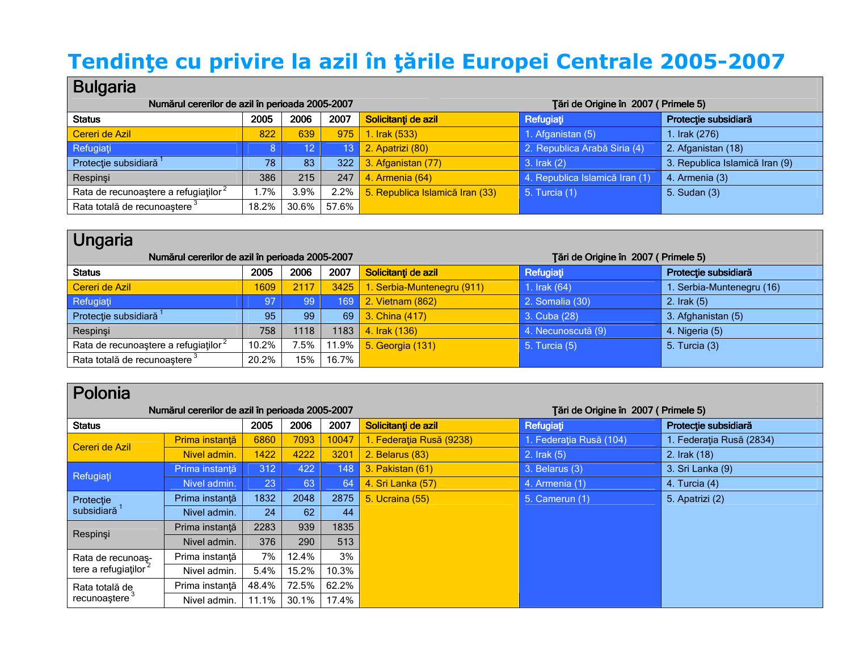# Tendințe cu privire la azil în țările Europei Centrale 2005-2007

### Bulgaria

| .<br>Numărul cererilor de azil în perioada 2005-2007 |       |                 |       | Tări de Origine în 2007 (Primele 5) |                                |                                |
|------------------------------------------------------|-------|-----------------|-------|-------------------------------------|--------------------------------|--------------------------------|
| <b>Status</b>                                        | 2005  | 2006            | 2007  | Solicitanți de azil                 | Refugiați                      | Protecție subsidiară           |
| Cereri de Azil                                       | 822   | 639             | 975   | 1. Irak (533)                       | 1. Afganistan (5)              | 1. Irak (276)                  |
| Refugiați                                            |       | 12 <sub>2</sub> | (13)  | 2. Apatrizi (80)                    | 2. Republica Arabă Siria (4)   | 2. Afganistan (18)             |
| Protecție subsidiară <sup>1</sup>                    | 78    | 83              | 322   | 3. Afganistan (77)                  | 3. Irak (2)                    | 3. Republica Islamică Iran (9) |
| Respinsi                                             | 386   | 215             | 247   | 4. Armenia (64)                     | 4. Republica Islamică Iran (1) | 4. Armenia (3)                 |
| Rata de recunoastere a refugiatilor <sup>2</sup>     | l.7%  | $3.9\%$         | 2.2%  | 5. Republica Islamică Iran (33)     | 5. Turcia (1)                  | 5. Sudan (3)                   |
| Rata totală de recunoaștere <sup>3</sup>             | 18.2% | 30.6%           | 57.6% |                                     |                                |                                |

| Ungaria                                         |           |      |          |                            |                                     |                           |
|-------------------------------------------------|-----------|------|----------|----------------------------|-------------------------------------|---------------------------|
| Numărul cererilor de azil în perioada 2005-2007 |           |      |          |                            | Tări de Origine în 2007 (Primele 5) |                           |
| <b>Status</b>                                   | 2005      | 2006 | 2007     | Solicitanți de azil        | Refugiați                           | Protecție subsidiară      |
| Cereri de Azil                                  | 1609      | 2117 | 3425     | 1. Serbia-Muntenegru (911) | 1. Irak $(64)$                      | 1. Serbia-Muntenegru (16) |
| Refugiați                                       | <b>97</b> | 99   | 169      | 2. Vietnam (862)           | 2. Somalia (30)                     | 2. $Irak(5)$              |
| Protecție subsidiară <sup>1</sup>               | 95        | 99   | 69       | 3. China (417)             | 3. Cuba (28)                        | 3. Afghanistan (5)        |
| Respinşi                                        | 758       | 1118 | 1183     | 4. Irak (136)              | 4. Necunoscută (9)                  | 4. Nigeria (5)            |
| Rata de recunoastere a refugiatilor             | 10.2%     | 7.5% | $11.9\%$ | 5. Georgia (131)           | 5. Turcia (5)                       | 5. Turcia (3)             |
| Rata totală de recunoaștere <sup>3</sup>        | 20.2%     | 15%  | 16.7%    |                            |                                     |                           |

#### olonia

| Numărul cererilor de azil în perioada 2005-2007 |                |       |       |       |                          | Tări de Origine în 2007 (Primele 5) |                          |
|-------------------------------------------------|----------------|-------|-------|-------|--------------------------|-------------------------------------|--------------------------|
| <b>Status</b>                                   |                | 2005  | 2006  | 2007  | Solicitanți de azil      | Refugiați                           | Protecție subsidiară     |
| Cereri de Azil                                  | Prima instanță | 6860  | 7093  | 10047 | 1. Federația Rusă (9238) | 1. Federația Rusă (104)             | 1. Federația Rusă (2834) |
|                                                 | Nivel admin.   | 1422  | 4222  | 3201  | 2. Belarus (83)          | $2.$ Irak $(5)$                     | 2. Irak (18)             |
| Refugiați                                       | Prima instanță | 312   | 422   | 148   | 3. Pakistan (61)         | 3. Belarus (3)                      | 3. Sri Lanka (9)         |
|                                                 | Nivel admin.   | 23    | 63    | 64    | 4. Sri Lanka (57)        | 4. Armenia (1)                      | 4. Turcia (4)            |
| Protecție                                       | Prima instanță | 1832  | 2048  | 2875  | 5. Ucraina (55)          | 5. Camerun (1)                      | 5. Apatrizi (2)          |
| subsidiară <sup>1</sup>                         | Nivel admin.   | 24    | 62    | 44    |                          |                                     |                          |
| Respinşi                                        | Prima instanță | 2283  | 939   | 1835  |                          |                                     |                          |
|                                                 | Nivel admin.   | 376   | 290   | 513   |                          |                                     |                          |
| Rata de recunoas-                               | Prima instantă | 7%    | 12.4% | 3%    |                          |                                     |                          |
| tere a refugiatilor <sup>2</sup>                | Nivel admin.   | 5.4%  | 15.2% | 10.3% |                          |                                     |                          |
| Rata totală de                                  | Prima instantă | 48.4% | 72.5% | 62.2% |                          |                                     |                          |
| recunoaștere <sup>3</sup>                       | Nivel admin.   | 11.1% | 30.1% | 17.4% |                          |                                     |                          |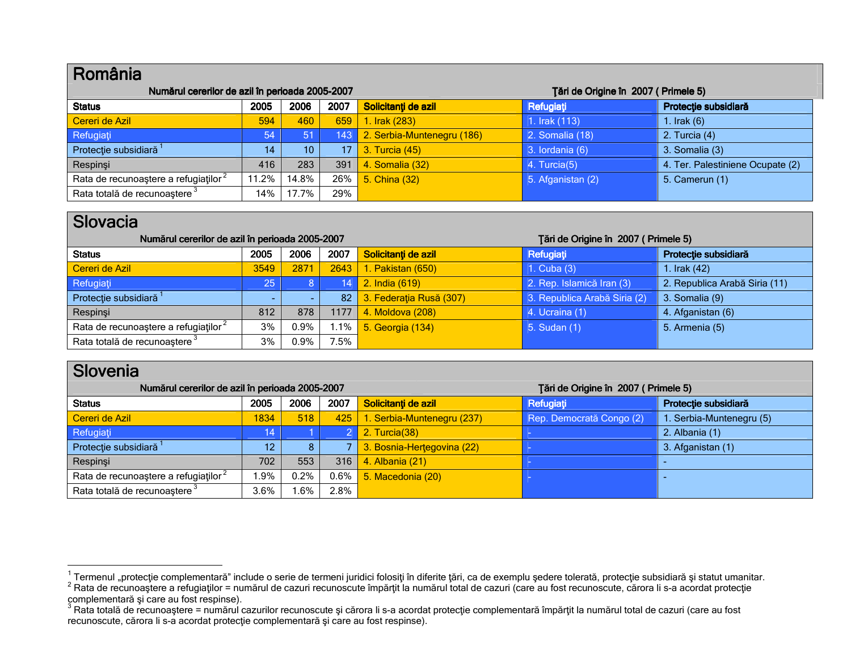| România                                          |       |       |                 |                                     |                   |                                  |
|--------------------------------------------------|-------|-------|-----------------|-------------------------------------|-------------------|----------------------------------|
| Numărul cererilor de azil în perioada 2005-2007  |       |       |                 | Tări de Origine în 2007 (Primele 5) |                   |                                  |
| <b>Status</b>                                    | 2005  | 2006  | 2007            | Solicitanți de azil                 | Refugiați         | Protecție subsidiară             |
| Cereri de Azil                                   | 594   | 460   | 659             | 1. Irak (283)                       | 1. Irak (113)     | 1. $Irak(6)$                     |
| Refugiați                                        | 54    | 51    | 143             | 2. Serbia-Muntenegru (186)          | 2. Somalia (18)   | 2. Turcia (4)                    |
| Protecție subsidiară <sup>1</sup>                | 14    | 10    | 17 <sub>1</sub> | 3. Turcia (45)                      | 3. lordania (6)   | 3. Somalia (3)                   |
| Respinsi                                         | 416   | 283   | 391             | 4. Somalia (32)                     | 4. Turcia(5)      | 4. Ter. Palestiniene Ocupate (2) |
| Rata de recunoastere a refugiatilor <sup>2</sup> | 11.2% | 14.8% | $26\%$          | 5. China (32)                       | 5. Afganistan (2) | 5. Camerun (1)                   |
| Rata totală de recunoaștere <sup>3</sup>         | 14%   | 17.7% | 29%             |                                     |                   |                                  |

### Slovacia

| Numărul cererilor de azil în perioada 2005-2007  |      |         |         | Tări de Origine în 2007 (Primele 5) |                              |                               |
|--------------------------------------------------|------|---------|---------|-------------------------------------|------------------------------|-------------------------------|
| <b>Status</b>                                    | 2005 | 2006    | 2007    | Solicitanți de azil                 | Refugiați                    | Protecție subsidiară          |
| Cereri de Azil                                   | 3549 | 2871    | 2643    | 1. Pakistan (650)                   | 1. Cuba $(3)$                | 1. Irak (42)                  |
| Refugiați                                        | 25   |         | 14      | 2. India (619)                      | 2. Rep. Islamică Iran (3)    | 2. Republica Arabă Siria (11) |
| Protecție subsidiară <sup>1</sup>                |      |         | 82      | 3. Federația Rusă (307)             | 3. Republica Arabă Siria (2) | 3. Somalia (9)                |
| Respinsi                                         | 812  | 878     | 1177    | 4. Moldova (208)                    | 4. Ucraina (1)               | 4. Afganistan (6)             |
| Rata de recunoastere a refugiatilor <sup>2</sup> | 3%   | $0.9\%$ | $1.1\%$ | 5. Georgia (134)                    | 5. Sudan (1)                 | 5. Armenia (5)                |
| Rata totală de recunoaștere <sup>3</sup>         | 3%   | 0.9%    | 7.5%    |                                     |                              |                               |

| Slovenia                                         |      |      |         |                            |                                     |                          |
|--------------------------------------------------|------|------|---------|----------------------------|-------------------------------------|--------------------------|
| Numărul cererilor de azil în perioada 2005-2007  |      |      |         |                            | Tări de Origine în 2007 (Primele 5) |                          |
| <b>Status</b>                                    | 2005 | 2006 | 2007    | Solicitanți de azil        | Refugiați                           | Protecție subsidiară     |
| Cereri de Azil                                   | 1834 | 518  | 425     | Serbia-Muntenegru (237)    | Rep. Democrată Congo (2)            | I. Serbia-Muntenegru (5) |
| Refugiați                                        | 14   |      |         | 2. Turcia(38)              | . .                                 | 2. Albania (1)           |
| Protecție subsidiară <sup>1</sup>                | 12   | 8    |         | 3. Bosnia-Hertegovina (22) | $\sim$                              | 3. Afganistan (1)        |
| Respinsi                                         | 702  | 553  | 316     | 4. Albania (21)            | <b>College</b>                      |                          |
| Rata de recunoastere a refugiatilor <sup>2</sup> | .9%  | 0.2% | $0.6\%$ | 5. Macedonia (20)          | <b>College</b>                      |                          |
| Rata totală de recunoaștere <sup>3</sup>         | 3.6% | .6%  | 2.8%    |                            |                                     |                          |

<sup>&</sup>lt;sup>1</sup> Termenul "protecție complementară" include o serie de termeni juridici folosiți în diferite țări, ca de exemplu ședere tolerată, protecție subsidiară și statut umanitar.<br><sup>2</sup> Rata de recunoaștere a refugiaților = număru

recunoscute, cărora li s-a acordat protecție complementară și care au fost respinse).